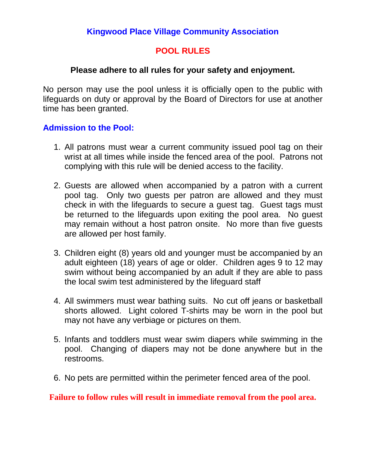## **Kingwood Place Village Community Association**

## **POOL RULES**

### **Please adhere to all rules for your safety and enjoyment.**

No person may use the pool unless it is officially open to the public with lifeguards on duty or approval by the Board of Directors for use at another time has been granted.

### **Admission to the Pool:**

- 1. All patrons must wear a current community issued pool tag on their wrist at all times while inside the fenced area of the pool. Patrons not complying with this rule will be denied access to the facility.
- 2. Guests are allowed when accompanied by a patron with a current pool tag. Only two guests per patron are allowed and they must check in with the lifeguards to secure a guest tag. Guest tags must be returned to the lifeguards upon exiting the pool area. No guest may remain without a host patron onsite. No more than five guests are allowed per host family.
- 3. Children eight (8) years old and younger must be accompanied by an adult eighteen (18) years of age or older. Children ages 9 to 12 may swim without being accompanied by an adult if they are able to pass the local swim test administered by the lifeguard staff
- 4. All swimmers must wear bathing suits. No cut off jeans or basketball shorts allowed. Light colored T-shirts may be worn in the pool but may not have any verbiage or pictures on them.
- 5. Infants and toddlers must wear swim diapers while swimming in the pool. Changing of diapers may not be done anywhere but in the restrooms.
- 6. No pets are permitted within the perimeter fenced area of the pool.

#### **Failure to follow rules will result in immediate removal from the pool area.**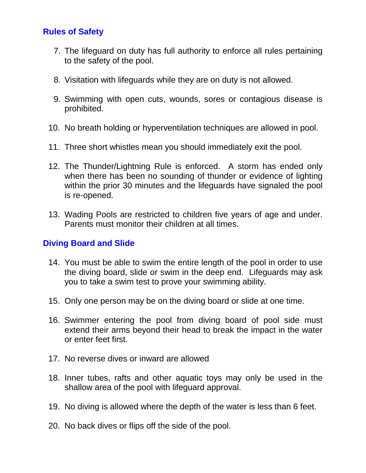# **Rules of Safety**

- 7. The lifeguard on duty has full authority to enforce all rules pertaining to the safety of the pool.
- 8. Visitation with lifeguards while they are on duty is not allowed.
- 9. Swimming with open cuts, wounds, sores or contagious disease is prohibited.
- 10. No breath holding or hyperventilation techniques are allowed in pool.
- 11. Three short whistles mean you should immediately exit the pool.
- 12. The Thunder/Lightning Rule is enforced. A storm has ended only when there has been no sounding of thunder or evidence of lighting within the prior 30 minutes and the lifeguards have signaled the pool is re-opened.
- 13. Wading Pools are restricted to children five years of age and under. Parents must monitor their children at all times.

# **Diving Board and Slide**

- 14. You must be able to swim the entire length of the pool in order to use the diving board, slide or swim in the deep end. Lifeguards may ask you to take a swim test to prove your swimming ability.
- 15. Only one person may be on the diving board or slide at one time.
- 16. Swimmer entering the pool from diving board of pool side must extend their arms beyond their head to break the impact in the water or enter feet first.
- 17. No reverse dives or inward are allowed
- 18. Inner tubes, rafts and other aquatic toys may only be used in the shallow area of the pool with lifeguard approval.
- 19. No diving is allowed where the depth of the water is less than 6 feet.
- 20. No back dives or flips off the side of the pool.